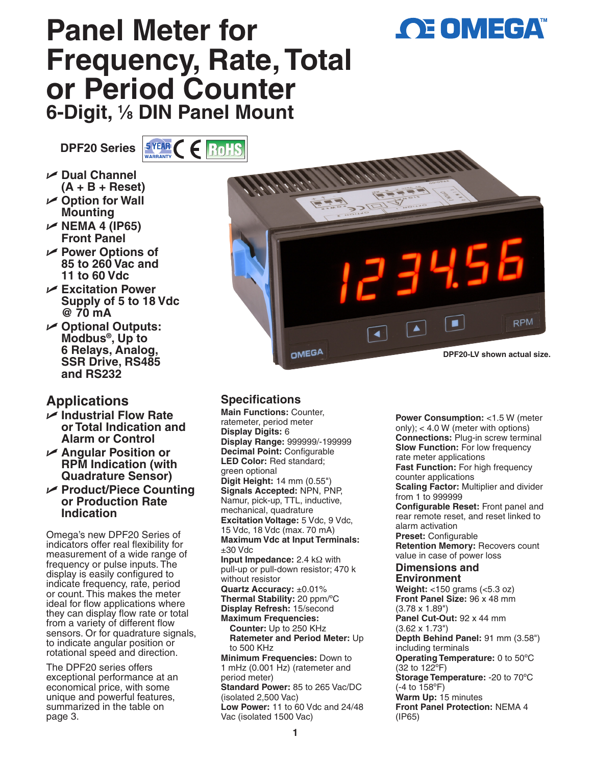# **OE OMEGA**

## **Panel Meter for Frequency, Rate, Total or Period Counter 6-Digit, 1 ⁄8 DIN Panel Mount**

**DPF20 Series SYEAR C E ROHS** 

- U **Dual Channel**
- **(A + B + Reset)** U **Option for Wall**
- **Mounting** U **NEMA 4 (IP65) Front Panel**
- U **Power Options of 85 to 260 Vac and 11 to 60 Vdc**
- U **Excitation Power Supply of 5 to 18 Vdc @ 70 mA**
- U **Optional Outputs: Modbus®, Up to 6 Relays, Analog, SSR Drive, RS485 and RS232**

## **Applications**

- U **Industrial Flow Rate or Total Indication and Alarm or Control**
- U **Angular Position or RPM Indication (with Quadrature Sensor)**
- U **Product/Piece Counting or Production Rate Indication**

Omega's new DPF20 Series of indicators offer real flexibility for measurement of a wide range of frequency or pulse inputs. The display is easily configured to indicate frequency, rate, period or count. This makes the meter ideal for flow applications where they can display flow rate or total from a variety of different flow sensors. Or for quadrature signals, to indicate angular position or rotational speed and direction.

The DPF20 series offers exceptional performance at an economical price, with some unique and powerful features, summarized in the table on page 3.



### **Specifications**

**Main Functions:** Counter, ratemeter, period meter **Display Digits:** 6 **Display Range:** 999999/-199999 **Decimal Point:** Configurable **LED Color:** Red standard; green optional **Digit Height:** 14 mm (0.55") **Signals Accepted:** NPN, PNP, Namur, pick-up, TTL, inductive, mechanical, quadrature **Excitation Voltage:** 5 Vdc, 9 Vdc, 15 Vdc, 18 Vdc (max. 70 mA) **Maximum Vdc at Input Terminals:** ±30 Vdc **Input Impedance:** 2.4 kΩ with pull-up or pull-down resistor; 470 k without resistor **Quartz Accuracy:** ±0.01% **Thermal Stability:** 20 ppm/ºC **Display Refresh:** 15/second **Maximum Frequencies: Counter:** Up to 250 KHz **Ratemeter and Period Meter:** Up to 500 KHz **Minimum Frequencies:** Down to 1 mHz (0.001 Hz) (ratemeter and period meter) **Standard Power:** 85 to 265 Vac/DC (isolated 2,500 Vac) **Low Power:** 11 to 60 Vdc and 24/48 Vac (isolated 1500 Vac)

**Power Consumption:** <1.5 W (meter only); < 4.0 W (meter with options) **Connections:** Plug-in screw terminal **Slow Function:** For low frequency rate meter applications **Fast Function:** For high frequency counter applications **Scaling Factor:** Multiplier and divider from 1 to 999999 **Configurable Reset:** Front panel and rear remote reset, and reset linked to alarm activation **Preset:** Configurable **Retention Memory:** Recovers count value in case of power loss **Dimensions and Environment Weight:** <150 grams (<5.3 oz) **Front Panel Size:** 96 x 48 mm (3.78 x 1.89") **Panel Cut-Out:** 92 x 44 mm (3.62 x 1.73") **Depth Behind Panel:** 91 mm (3.58") including terminals **Operating Temperature:** 0 to 50ºC (32 to 122ºF) **Storage Temperature:** -20 to 70ºC (-4 to 158ºF) **Warm Up:** 15 minutes **Front Panel Protection:** NEMA 4 (IP65)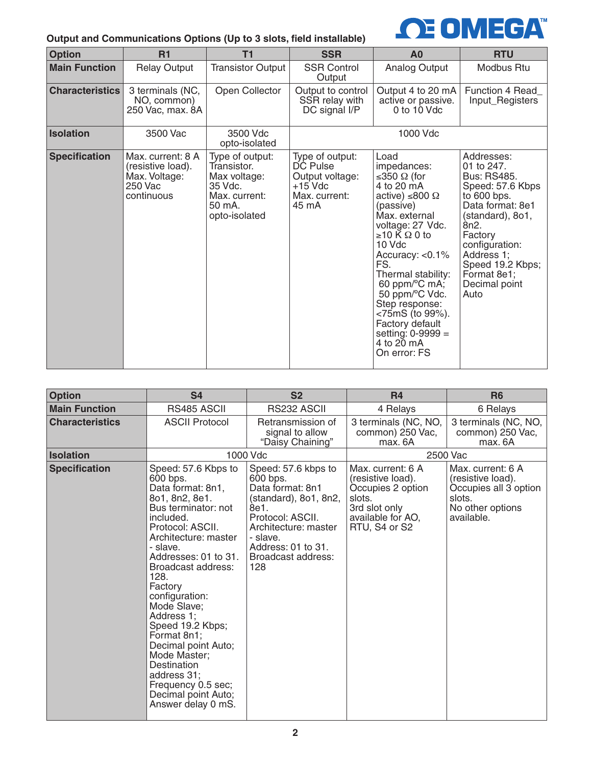#### **Output and Communications Options (Up to 3 slots, field installable)**



| <b>Option</b>          | R1                                                                               | <b>T1</b>                                                                                             | <b>SSR</b>                                                                            | A <sub>0</sub>                                                                                                                                                                                                                                                                                                                                                    | <b>RTU</b>                                                                                                                                                                                                                                            |
|------------------------|----------------------------------------------------------------------------------|-------------------------------------------------------------------------------------------------------|---------------------------------------------------------------------------------------|-------------------------------------------------------------------------------------------------------------------------------------------------------------------------------------------------------------------------------------------------------------------------------------------------------------------------------------------------------------------|-------------------------------------------------------------------------------------------------------------------------------------------------------------------------------------------------------------------------------------------------------|
| <b>Main Function</b>   | <b>Relay Output</b>                                                              | <b>Transistor Output</b>                                                                              | <b>SSR Control</b><br>Output                                                          | Analog Output                                                                                                                                                                                                                                                                                                                                                     | Modbus Rtu                                                                                                                                                                                                                                            |
| <b>Characteristics</b> | 3 terminals (NC,<br>NO, common)<br>250 Vac, max. 8A                              | Open Collector                                                                                        | Output to control<br>SSR relay with<br>DC signal I/P                                  | Output 4 to 20 mA<br>active or passive.<br>$0$ to $10$ Vdc                                                                                                                                                                                                                                                                                                        | Function 4 Read_<br>Input_Registers                                                                                                                                                                                                                   |
| <b>Isolation</b>       | 3500 Vac                                                                         | 3500 Vdc<br>opto-isolated                                                                             |                                                                                       | 1000 Vdc                                                                                                                                                                                                                                                                                                                                                          |                                                                                                                                                                                                                                                       |
| <b>Specification</b>   | Max. current: 8 A<br>(resistive load).<br>Max. Voltage:<br>250 Vac<br>continuous | Type of output:<br>Transistor.<br>Max voltage:<br>35 Vdc.<br>Max. current:<br>50 mA.<br>opto-isolated | Type of output:<br>DC Pulse<br>Output voltage:<br>$+15$ Vdc<br>Max. current:<br>45 mA | Load<br>impedances:<br>≤350 $\Omega$ (for<br>4 to 20 mA<br>active) ≤800 Ω<br>(passive)<br>Max. external<br>voltage: 27 Vdc.<br>≥10 K Ω 0 to<br>10 Vdc<br>Accuracy: $< 0.1\%$<br>FS.<br>Thermal stability:<br>60 ppm/ $\rm ^{o}C$ mA;<br>50 ppm/°C Vdc.<br>Step response:<br><75mS (to 99%).<br>Factory default<br>setting: 0-9999 =<br>4 to 20 mA<br>On error: FS | Addresses:<br>01 to 247.<br><b>Bus: RS485.</b><br>Speed: 57.6 Kbps<br>to 600 bps.<br>Data format: 8e1<br>(standard), 8o1,<br>8n <sub>2</sub> .<br>Factory<br>configuration:<br>Address 1;<br>Speed 19.2 Kbps;<br>Format 8e1;<br>Decimal point<br>Auto |

| <b>Option</b>          | S <sub>4</sub>                                                                                                                                                                                                                                                                                                                                                                                                                                                | S <sub>2</sub>                                                                                                                                                                                     | <b>R4</b>                                                                                                                    | <b>R6</b>                                                                                                   |  |
|------------------------|---------------------------------------------------------------------------------------------------------------------------------------------------------------------------------------------------------------------------------------------------------------------------------------------------------------------------------------------------------------------------------------------------------------------------------------------------------------|----------------------------------------------------------------------------------------------------------------------------------------------------------------------------------------------------|------------------------------------------------------------------------------------------------------------------------------|-------------------------------------------------------------------------------------------------------------|--|
| <b>Main Function</b>   | RS485 ASCII                                                                                                                                                                                                                                                                                                                                                                                                                                                   | RS232 ASCII                                                                                                                                                                                        | 4 Relays                                                                                                                     | 6 Relays                                                                                                    |  |
| <b>Characteristics</b> | <b>ASCII Protocol</b>                                                                                                                                                                                                                                                                                                                                                                                                                                         | Retransmission of<br>signal to allow<br>"Daisy Chaining"                                                                                                                                           | 3 terminals (NC, NO,<br>common) 250 Vac,<br>max. 6A                                                                          | 3 terminals (NC, NO,<br>common) 250 Vac,<br>max. 6A                                                         |  |
| <b>Isolation</b>       |                                                                                                                                                                                                                                                                                                                                                                                                                                                               | 1000 Vdc                                                                                                                                                                                           |                                                                                                                              | 2500 Vac                                                                                                    |  |
| <b>Specification</b>   | Speed: 57.6 Kbps to<br>600 bps.<br>Data format: 8n1,<br>801, 8n2, 8e1.<br>Bus terminator: not<br>included.<br>Protocol: ASCII.<br>Architecture: master<br>- slave.<br>Addresses: 01 to 31.<br>Broadcast address:<br>128.<br>Factory<br>configuration:<br>Mode Slave;<br>Address 1;<br>Speed 19.2 Kbps;<br>Format 8n1;<br>Decimal point Auto;<br>Mode Master;<br>Destination<br>address 31;<br>Frequency 0.5 sec;<br>Decimal point Auto;<br>Answer delay 0 mS. | Speed: 57.6 kbps to<br>600 bps.<br>Data format: 8n1<br>$(standard)$ , 801, 8n2,<br>8e1.<br>Protocol: ASCII.<br>Architecture: master<br>- slave.<br>Address: 01 to 31.<br>Broadcast address:<br>128 | Max. current: 6 A<br>(resistive load).<br>Occupies 2 option<br>slots.<br>3rd slot only<br>available for AO.<br>RTU, S4 or S2 | Max. current: 6 A<br>(resistive load).<br>Occupies all 3 option<br>slots.<br>No other options<br>available. |  |